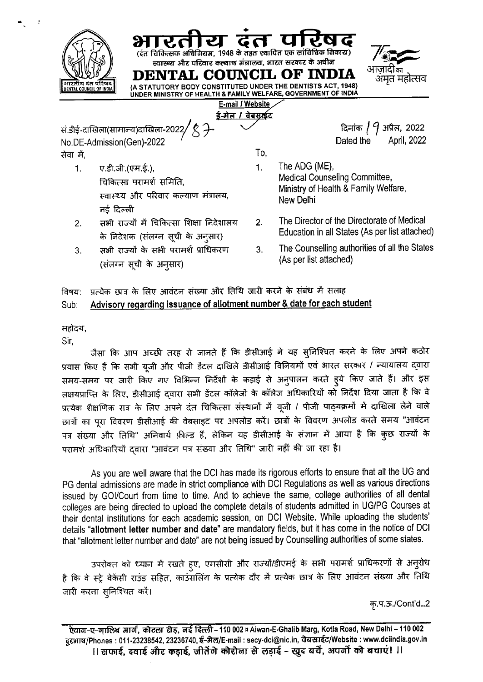(दंत चिकित्सक अधिनियम, 1948 के तहत स्थापित एक सांविधिक निकाय) स्वास्थ्य और परिवार कल्याण मंत्रालय, भारत सरकार के अधीज DENTAL COUNCIL OF INDIA अमृत महोत्सव (A STATUTORY BODY CONSTITUTED UNDER THE DENTISTS ACT, 1948) INCIL OF INDI UNDER MINISTRY OF HEALTH & FAMILY WELFARE, GOVERNMENT OF INDIA E-mail / Website <u>ई-मेल / वेबसाईट</u> दिनांक / 9 अप्रैल, 2022 सं.डीई-दाखिला(सामान्य)दाखिला-2022 No.DE-Admission(Gen)-2022 Dated the April, 2022 To, सेवा में. The ADG (ME), 1.  $\mathbf{1}$ . ए.डी.जी.(एम.ई.), Medical Counseling Committee, चिकित्सा परामर्श समिति. Ministry of Health & Family Welfare, स्वास्थ्य और परिवार कल्याण मंत्रालय, New Delhi नर्ड दिल्ली The Director of the Directorate of Medical सभी राज्यों में चिकित्सा शिक्षा निदेशालय  $2.$  $2.$ Education in all States (As per list attached) के निदेशक (संलग्न सूची के अनुसार) The Counselling authorities of all the States सभी राज्यों के सभी परामर्श प्राधिकरण 3.  $3<sup>1</sup>$ (As per list attached) (संलग्न सूची के अनुसार)

## प्रत्येक छात्र के लिए आवंटन संख्या और तिथि जारी करने के संबंध में सलाह विषय: Advisory regarding issuance of allotment number & date for each student  $Sub:$

महोदय,

Sir.

जैसा कि आप अच्छी तरह से जानते हैं कि डीसीआई ने यह सुनिश्चित करने के लिए अपने कठोर प्रयास किए हैं कि सभी यूजी और पीजी डेंटल दाखिले डीसीआई विनियमों एवं भारत सरकार / न्यायालय द्वारा समय-समय पर जारी किए गए विभिन्न निर्देशों के कड़ाई से अनुपालन करते हूये किए जाते हैं। और इस लक्षयप्राप्ति के लिए, डीसीआई दवारा सभी डेंटल कॉलेजों के कॉलेज अधिकारियों को निर्देश दिया जाता है कि वे प्रत्येक शैक्षणिक सत्र के लिए अपने दंत चिकित्सा संस्थानों में यूजी / पीजी पाठ्यक्रमों में दाखिला लेने वाले छात्रों का पूरा विवरण डीसीआई की वेबसाइट पर अपलोड करें। छात्रों के विवरण अपलोड करते समय "आवंटन पत्र संख्या और तिथि" अनिवार्य फ़ील्ड हैं, लेकिन यह डीसीआई के संज्ञान में आया है कि कुछ राज्यों के परामर्श अधिकारियों द्वारा "आवंटन पत्र संख्या और तिथि" जारी नहीं की जा रहा है।

As you are well aware that the DCI has made its rigorous efforts to ensure that all the UG and PG dental admissions are made in strict compliance with DCI Regulations as well as various directions issued by GOI/Court from time to time. And to achieve the same, college authorities of all dental colleges are being directed to upload the complete details of students admitted in UG/PG Courses at their dental institutions for each academic session, on DCI Website. While uploading the students' details "allotment letter number and date" are mandatory fields, but it has come in the notice of DCI that "allotment letter number and date" are not being issued by Counselling authorities of some states.

उपरोक्त को ध्यान में रखते हुए, एमसीसी और राज्यों/डीएमई के सभी परामर्श प्राधिकरणों से अनुरोध है कि वे स्ट्रे वेकेंसी राउंड सहित, काउंसलिंग के प्रत्येक दौर में प्रत्येक छात्र के लिए आवंटन संख्या और तिथि जारी करना सुनिश्चित करें।

कृ.प.ऊ./Cont'd...2